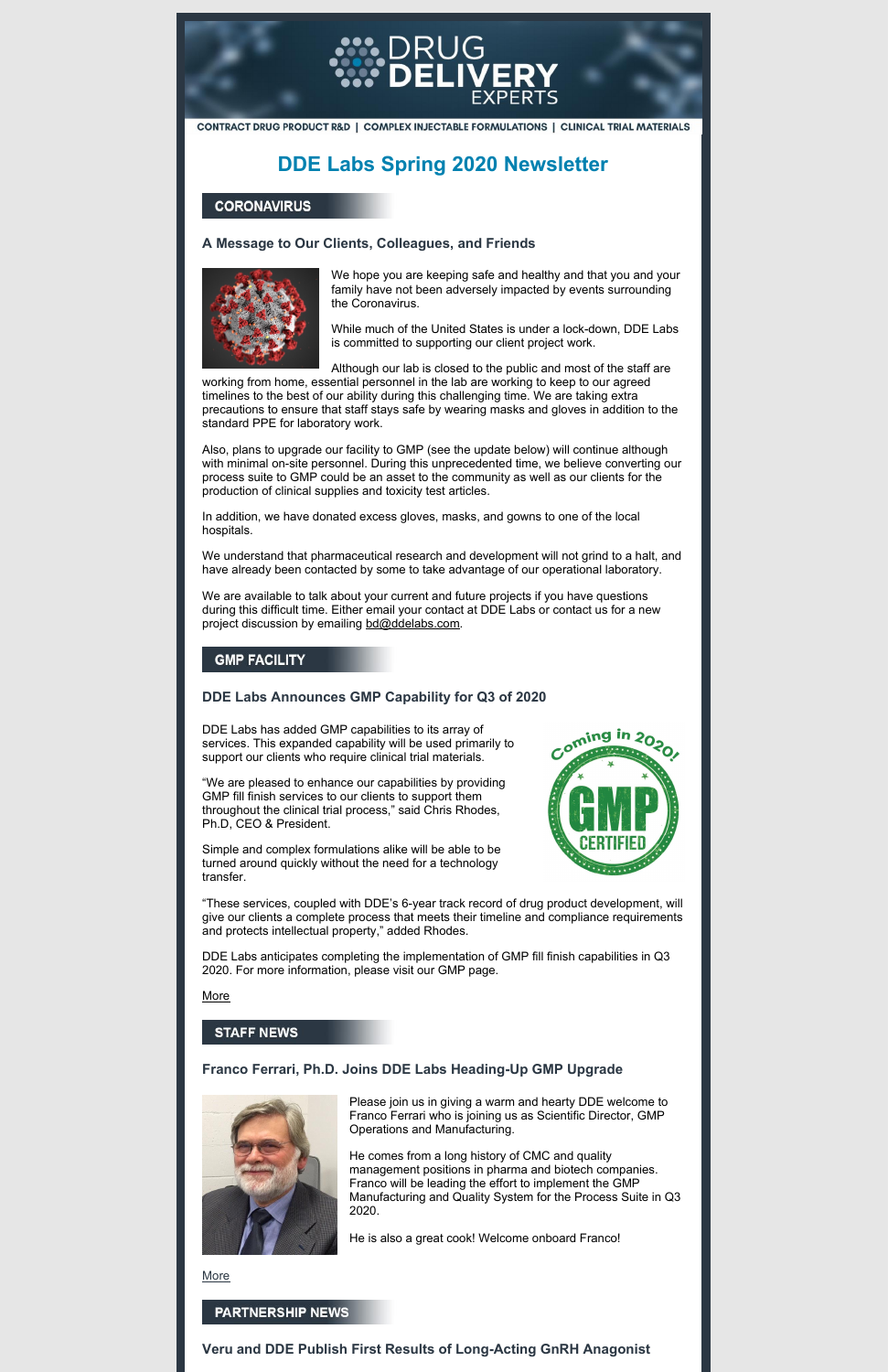

CONTRACT DRUG PRODUCT R&D | COMPLEX INJECTABLE FORMULATIONS | CLINICAL TRIAL MATERIALS

# **DDE Labs Spring 2020 Newsletter**

#### **CORONAVIRUS**

# **A Message to Our Clients, Colleagues, and Friends**



We hope you are keeping safe and healthy and that you and your family have not been adversely impacted by events surrounding the Coronavirus.

While much of the United States is under a lock-down, DDE Labs is committed to supporting our client project work.

Although our lab is closed to the public and most of the staff are

working from home, essential personnel in the lab are working to keep to our agreed timelines to the best of our ability during this challenging time. We are taking extra precautions to ensure that staff stays safe by wearing masks and gloves in addition to the standard PPE for laboratory work.

We are available to talk about your current and future projects if you have questions during this difficult time. Either email your contact at DDE Labs or contact us for a new project discussion by emailing [bd@ddelabs.com](mailto:bd@ddelabs.com).

# **GMP FACILITY**

Also, plans to upgrade our facility to GMP (see the update below) will continue although with minimal on-site personnel. During this unprecedented time, we believe converting our process suite to GMP could be an asset to the community as well as our clients for the production of clinical supplies and toxicity test articles.

In addition, we have donated excess gloves, masks, and gowns to one of the local hospitals.

We understand that pharmaceutical research and development will not grind to a halt, and have already been contacted by some to take advantage of our operational laboratory.

# **DDE Labs Announces GMP Capability for Q3 of 2020**

DDE Labs has added GMP capabilities to its array of services. This expanded capability will be used primarily to support our clients who require clinical trial materials.

"We are pleased to enhance our capabilities by providing GMP fill finish services to our clients to support them throughout the clinical trial process," said Chris Rhodes, Ph.D, CEO & President.



Simple and complex formulations alike will be able to be turned around quickly without the need for a technology transfer.

"These services, coupled with DDE's 6-year track record of drug product development, will give our clients a complete process that meets their timeline and compliance requirements and protects intellectual property," added Rhodes.

DDE Labs anticipates completing the implementation of GMP fill finish capabilities in Q3 2020. For more information, please visit our GMP page.

**[More](http://drugdeliveryexperts.com/gmp-facilities/)** 

#### **STAFF NEWS**

#### **Franco Ferrari, Ph.D. Joins DDE Labs Heading-Up GMP Upgrade**



Please join us in giving a warm and hearty DDE welcome to Franco Ferrari who is joining us as Scientific Director, GMP Operations and Manufacturing.

He comes from a long history of CMC and quality management positions in pharma and biotech companies. Franco will be leading the effort to implement the GMP Manufacturing and Quality System for the Process Suite in Q3 2020.

He is also a great cook! Welcome onboard Franco!

**[More](http://drugdeliveryexperts.com/staff/)** 

#### **PARTNERSHIP NEWS**

**Veru and DDE Publish First Results of Long-Acting GnRH Anagonist**